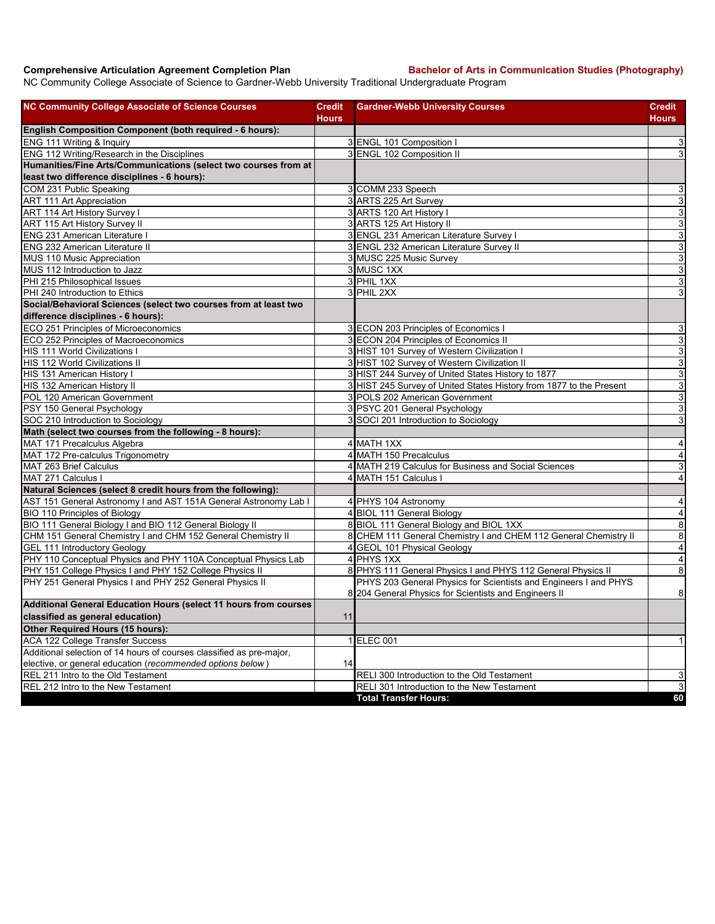**Comprehensive Articulation Agreement Completion Plan Bachelor of Arts in Communication Studies (Photography)** 

NC Community College Associate of Science to Gardner-Webb University Traditional Undergraduate Program

| <b>NC Community College Associate of Science Courses</b>             | <b>Credit</b><br><b>Hours</b> | <b>Gardner-Webb University Courses</b>                              | <b>Credit</b><br>Hours  |
|----------------------------------------------------------------------|-------------------------------|---------------------------------------------------------------------|-------------------------|
| English Composition Component (both required - 6 hours):             |                               |                                                                     |                         |
| ENG 111 Writing & Inquiry                                            |                               | 3 ENGL 101 Composition I                                            | $\mathsf 3$             |
| ENG 112 Writing/Research in the Disciplines                          |                               | 3 ENGL 102 Composition II                                           | 3                       |
| Humanities/Fine Arts/Communications (select two courses from at      |                               |                                                                     |                         |
| least two difference disciplines - 6 hours):                         |                               |                                                                     |                         |
| COM 231 Public Speaking                                              |                               | 3 COMM 233 Speech                                                   | 3                       |
| <b>ART 111 Art Appreciation</b>                                      |                               | 3 ARTS 225 Art Survey                                               | $\overline{3}$          |
| ART 114 Art History Survey I                                         |                               | 3 ARTS 120 Art History I                                            | ω                       |
| ART 115 Art History Survey II                                        |                               | 3 ARTS 125 Art History II                                           | ω                       |
| <b>ENG 231 American Literature I</b>                                 |                               | 3 ENGL 231 American Literature Survey I                             | 3                       |
| <b>ENG 232 American Literature II</b>                                |                               | 3 ENGL 232 American Literature Survey II                            | $\overline{3}$          |
| MUS 110 Music Appreciation                                           |                               | 3 MUSC 225 Music Survey                                             | $\mathsf 3$             |
| MUS 112 Introduction to Jazz                                         |                               | 3 MUSC 1XX                                                          | ω                       |
| PHI 215 Philosophical Issues                                         |                               | 3 PHIL 1XX                                                          | $\overline{3}$          |
| PHI 240 Introduction to Ethics                                       |                               | 3 PHIL 2XX                                                          | ω                       |
| Social/Behavioral Sciences (select two courses from at least two     |                               |                                                                     |                         |
| difference disciplines - 6 hours):                                   |                               |                                                                     |                         |
| ECO 251 Principles of Microeconomics                                 |                               | 3 ECON 203 Principles of Economics I                                | 3                       |
| ECO 252 Principles of Macroeconomics                                 |                               | 3 ECON 204 Principles of Economics II                               | $\overline{3}$          |
| HIS 111 World Civilizations I                                        |                               | 3 HIST 101 Survey of Western Civilization I                         | $\mathbf{3}$            |
| HIS 112 World Civilizations II                                       |                               | 3 HIST 102 Survey of Western Civilization II                        | $\mathbf{3}$            |
| HIS 131 American History I                                           |                               | 3 HIST 244 Survey of United States History to 1877                  | $\mathsf 3$             |
| HIS 132 American History II                                          |                               | 3 HIST 245 Survey of United States History from 1877 to the Present | $\overline{3}$          |
| POL 120 American Government                                          |                               | 3 POLS 202 American Government                                      | ω                       |
| PSY 150 General Psychology                                           |                               | 3 PSYC 201 General Psychology                                       | $\mathbf{3}$            |
| SOC 210 Introduction to Sociology                                    |                               | 3 SOCI 201 Introduction to Sociology                                | $\mathbf{3}$            |
| Math (select two courses from the following - 8 hours):              |                               |                                                                     |                         |
| MAT 171 Precalculus Algebra                                          |                               | 4 MATH 1XX                                                          | $\overline{4}$          |
| MAT 172 Pre-calculus Trigonometry                                    |                               | 4 MATH 150 Precalculus                                              | $\overline{\mathbf{4}}$ |
| MAT 263 Brief Calculus                                               |                               | 4 MATH 219 Calculus for Business and Social Sciences                | 3                       |
| MAT 271 Calculus I                                                   |                               | 4 MATH 151 Calculus I                                               | $\overline{4}$          |
| Natural Sciences (select 8 credit hours from the following):         |                               |                                                                     |                         |
| AST 151 General Astronomy I and AST 151A General Astronomy Lab I     |                               | 4 PHYS 104 Astronomy                                                | $\overline{4}$          |
| BIO 110 Principles of Biology                                        |                               | 4 BIOL 111 General Biology                                          | $\overline{\mathbf{A}}$ |
| BIO 111 General Biology I and BIO 112 General Biology II             |                               | 8 BIOL 111 General Biology and BIOL 1XX                             | 8                       |
| CHM 151 General Chemistry I and CHM 152 General Chemistry II         |                               | 8 CHEM 111 General Chemistry I and CHEM 112 General Chemistry II    | 8                       |
| <b>GEL 111 Introductory Geology</b>                                  |                               | 4 GEOL 101 Physical Geology                                         | $\overline{4}$          |
| PHY 110 Conceptual Physics and PHY 110A Conceptual Physics Lab       |                               | 4 PHYS 1XX                                                          | $\overline{4}$          |
| PHY 151 College Physics I and PHY 152 College Physics II             |                               | 8 PHYS 111 General Physics I and PHYS 112 General Physics II        | $\infty$                |
| PHY 251 General Physics I and PHY 252 General Physics II             |                               | PHYS 203 General Physics for Scientists and Engineers I and PHYS    |                         |
|                                                                      |                               | 8 204 General Physics for Scientists and Engineers II               | $\bf8$                  |
| Additional General Education Hours (select 11 hours from courses     |                               |                                                                     |                         |
| classified as general education)                                     | 11                            |                                                                     |                         |
| Other Required Hours (15 hours):                                     |                               |                                                                     |                         |
| <b>ACA 122 College Transfer Success</b>                              |                               | 1 ELEC 001                                                          | 1                       |
| Additional selection of 14 hours of courses classified as pre-major, |                               |                                                                     |                         |
| elective, or general education (recommended options below)           | 14                            |                                                                     |                         |
| REL 211 Intro to the Old Testament                                   |                               | RELI 300 Introduction to the Old Testament                          | 3                       |
| REL 212 Intro to the New Testament                                   |                               | RELI 301 Introduction to the New Testament                          | $\mathbf{3}$            |
|                                                                      |                               | <b>Total Transfer Hours:</b>                                        | 60                      |